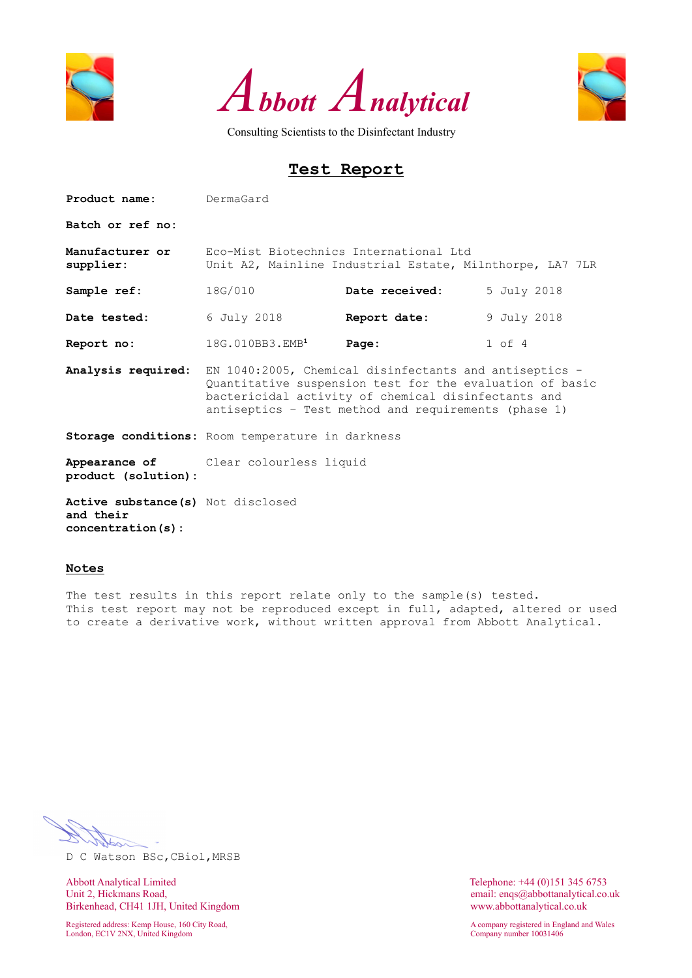





# **Test Report**

| Product name:                      | DermaGard                                                                                                                                                                                                                         |                                                                                                    |             |  |  |  |  |  |  |
|------------------------------------|-----------------------------------------------------------------------------------------------------------------------------------------------------------------------------------------------------------------------------------|----------------------------------------------------------------------------------------------------|-------------|--|--|--|--|--|--|
| Batch or ref no:                   |                                                                                                                                                                                                                                   |                                                                                                    |             |  |  |  |  |  |  |
| Manufacturer or<br>supplier:       |                                                                                                                                                                                                                                   | Eco-Mist Biotechnics International Ltd<br>Unit A2, Mainline Industrial Estate, Milnthorpe, LA7 7LR |             |  |  |  |  |  |  |
| Sample ref:                        | 18G/010                                                                                                                                                                                                                           | Date received:                                                                                     | 5 July 2018 |  |  |  |  |  |  |
| Date tested:                       | 6 July 2018                                                                                                                                                                                                                       | Report date:                                                                                       | 9 July 2018 |  |  |  |  |  |  |
| Report no:                         | 18G.010BB3.EMB <sup>1</sup>                                                                                                                                                                                                       | Page:                                                                                              | $1$ of $4$  |  |  |  |  |  |  |
| Analysis required:                 | EN 1040:2005, Chemical disinfectants and antiseptics -<br>Quantitative suspension test for the evaluation of basic<br>bactericidal activity of chemical disinfectants and<br>antiseptics - Test method and requirements (phase 1) |                                                                                                    |             |  |  |  |  |  |  |
|                                    | Storage conditions: Room temperature in darkness                                                                                                                                                                                  |                                                                                                    |             |  |  |  |  |  |  |
| product (solution):                | <b>Appearance of</b> Clear colourless liquid                                                                                                                                                                                      |                                                                                                    |             |  |  |  |  |  |  |
| Active substance (s) Not disclosed |                                                                                                                                                                                                                                   |                                                                                                    |             |  |  |  |  |  |  |

**and their concentration(s):**

### **Notes**

The test results in this report relate only to the sample(s) tested. This test report may not be reproduced except in full, adapted, altered or used to create a derivative work, without written approval from Abbott Analytical.

D C Watson BSc,CBiol,MRSB

Abbott Analytical Limited<br>
Unit 2, Hickmans Road,<br>
Unit 2, Hickmans Road,<br>
Conservation of the Maria Conservation of the Maria Conservation of the Maria Conservation of the Maria Conservation of the Maria Conservation of t Birkenhead, CH41 1JH, United Kingdom www.abbottanalytical.co.uk

Registered address: Kemp House, 160 City Road, A company registered in England and Wales London, EC1V 2NX, United Kingdom Company number 10031406

email: enqs@abbottanalytical.co.uk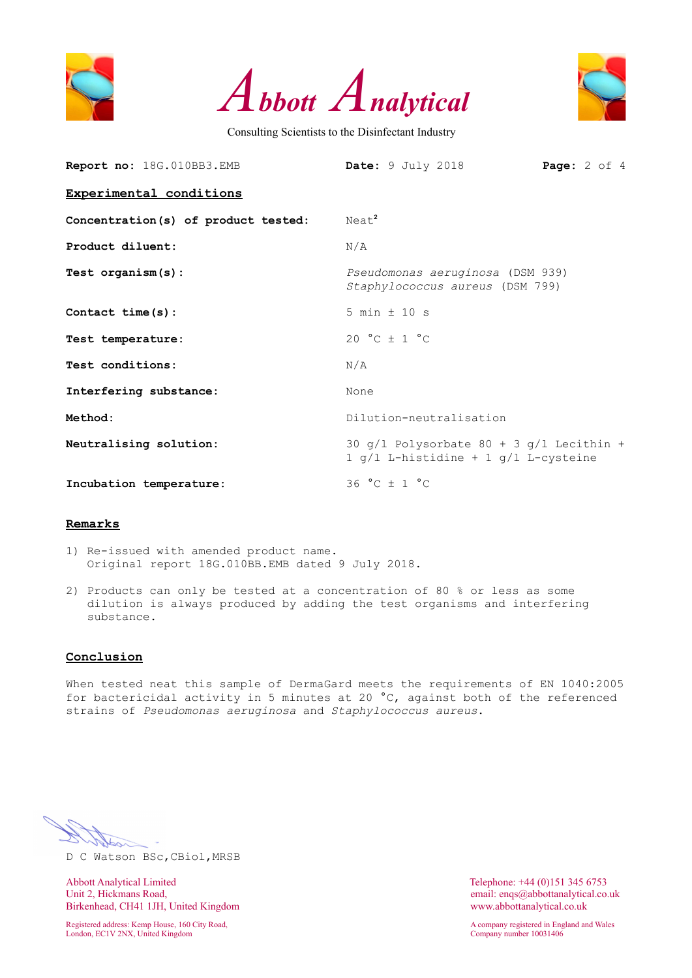





| Report no: 18G.010BB3.EMB           | Date: 9 July 2018<br><b>Page:</b> $2$ of $4$                                         |  |
|-------------------------------------|--------------------------------------------------------------------------------------|--|
| Experimental conditions             |                                                                                      |  |
| Concentration(s) of product tested: | Neat <sup>2</sup>                                                                    |  |
| Product diluent:                    | N/A                                                                                  |  |
| Test $organism(s)$ :                | Pseudomonas aeruginosa (DSM 939)<br>Staphylococcus aureus (DSM 799)                  |  |
| Contact time (s) :                  | $5 min \pm 10 s$                                                                     |  |
| Test temperature:                   | $20 °C + 1 °C$                                                                       |  |
| Test conditions:                    | N/A                                                                                  |  |
| Interfering substance:              | None                                                                                 |  |
| Method:                             | Dilution-neutralisation                                                              |  |
| Neutralising solution:              | 30 $q/l$ Polysorbate 80 + 3 $q/l$ Lecithin +<br>1 g/l L-histidine + 1 g/l L-cysteine |  |
| Incubation temperature:             | $36 °C \pm 1 °C$                                                                     |  |

#### **Remarks**

- 1) Re-issued with amended product name. Original report 18G.010BB.EMB dated 9 July 2018.
- 2) Products can only be tested at a concentration of 80 % or less as some dilution is always produced by adding the test organisms and interfering substance.

# **Conclusion**

When tested neat this sample of DermaGard meets the requirements of EN 1040:2005 for bactericidal activity in 5 minutes at 20 °C, against both of the referenced strains of *Pseudomonas aeruginosa* and *Staphylococcus aureus*.

D C Watson BSc,CBiol,MRSB

Abbott Analytical Limited Telephone: +44 (0)151 345 6753<br>
Unit 2, Hickmans Road, email: engs@abbottanalytical.co. Birkenhead, CH41 1JH, United Kingdom www.abbottanalytical.co.uk

London, EC1V 2NX, United Kingdom Company number 10031406

email: enqs@abbottanalytical.co.uk

Registered address: Kemp House, 160 City Road, A company registered in England and Wales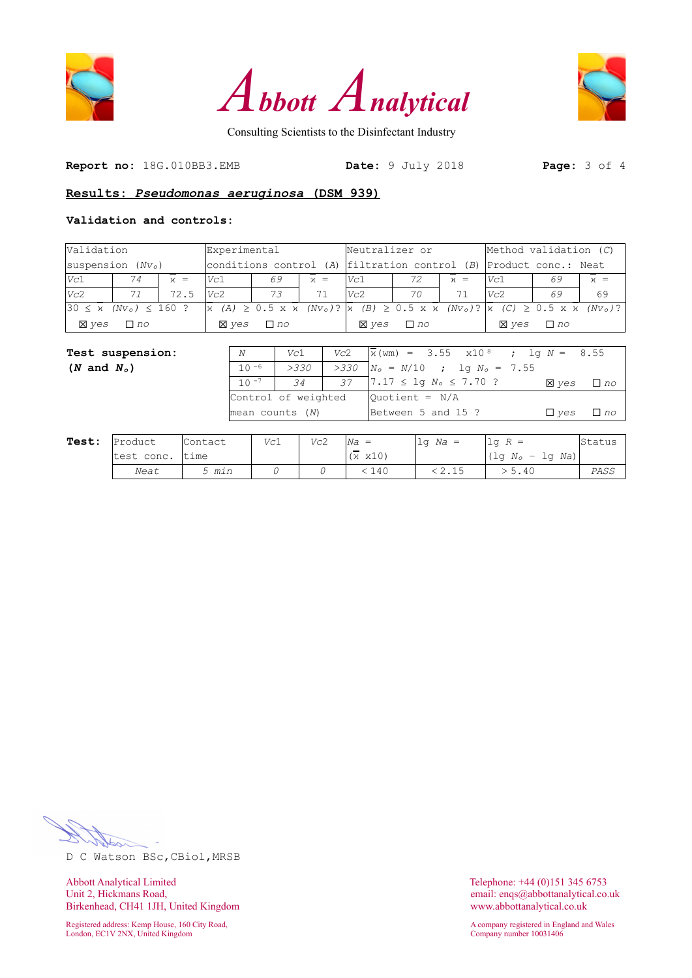





**Report no:** 18G.010BB3.EMB **Date:** 9 July 2018 **Page:** 3 of 4

# **Results:** *Pseudomonas aeruginosa* **(DSM 939)**

### **Validation and controls:**

|                                                       | Validation<br>Experimental |       |                                                                     | Neutralizer or                                                                                                                                                                                           |         |              | Method validation $(C)$ |         |              |           |       |
|-------------------------------------------------------|----------------------------|-------|---------------------------------------------------------------------|----------------------------------------------------------------------------------------------------------------------------------------------------------------------------------------------------------|---------|--------------|-------------------------|---------|--------------|-----------|-------|
| $ {\rm suspension~}(Nv_0) $                           |                            |       | conditions control (A)  filtration control (B)  Product conc.: Neat |                                                                                                                                                                                                          |         |              |                         |         |              |           |       |
| Vc1                                                   | 74                         | $x =$ | Vc1                                                                 | 69                                                                                                                                                                                                       | $\nu =$ | Vc1          | 72                      | $\nu =$ | Vc1          | 69        | $x =$ |
| Vc2                                                   |                            | 72.5  | Vc2                                                                 | 73                                                                                                                                                                                                       | 71      | Vc2          | 70                      |         | Vc2          | 69        | 69    |
| $ 30 \le \overline{x}$ (Nv <sub>o</sub> ) $\le 160$ ? |                            |       |                                                                     | $\overline{x}$ (A) $\geq$ 0.5 x $\overline{x}$ (Nv <sub>o</sub> )? $\overline{x}$ (B) $\geq$ 0.5 x $\overline{x}$ (Nv <sub>o</sub> )? $\overline{x}$ (C) $\geq$ 0.5 x $\overline{x}$ (Nv <sub>o</sub> )? |         |              |                         |         |              |           |       |
| <b>X</b> ves                                          | $\Box$ no                  |       | <b>X</b> ves                                                        | $\Box$ no                                                                                                                                                                                                |         | <b>X</b> ves | $\Box$ no               |         | <b>X</b> ves | $\Box$ no |       |

| <b>Test suspension:</b> | N                   | Vc1          | Vc2 | $\bar{x}$ (wm) = 3.55 x10 <sup>8</sup> ; lg N = 8.55 |              |           |
|-------------------------|---------------------|--------------|-----|------------------------------------------------------|--------------|-----------|
| $(N \text{ and } N_o)$  | $10 - 6$            | >330         |     | $>330$ $N_o = N/10$ ; lg $N_o = 7.55$                |              |           |
|                         |                     | $10^{-7}$ 34 |     | 37   $7.17 \leq$ 1q $N_o \leq 7.70$ ?                | <b>X</b> ves | $\Box$ no |
|                         | Control of weighted |              |     | $Quotient = N/A$                                     |              |           |
|                         | $mean$ counts $(N)$ |              |     | Between 5 and 15 ?                                   | $\Box$ ves   | $\Box$ no |
|                         |                     |              |     |                                                      |              |           |

| Test: | Product    | Contact | Vc1 | Vc2 | Na<br>$=$       | $1q$ Na = | $R =$<br>. Td                    | blatus |
|-------|------------|---------|-----|-----|-----------------|-----------|----------------------------------|--------|
|       | test conc. | ltime   |     |     | $(x \times 10)$ |           | $(\text{lg }N_o - \text{lg }Na)$ |        |
|       | Neat       | 5 min   |     |     | 140             |           | > 5.40                           | PASS   |

D C Watson BSc,CBiol,MRSB

Abbott Analytical Limited<br>
Unit 2, Hickmans Road,<br>
Unit 2, Hickmans Road,<br>
Conservation of the Maria Conservation of the Maria Conservation of the Maria Conservation of the Maria Conservation of the Maria Conservation of t Birkenhead, CH41 1JH, United Kingdom www.abbottanalytical.co.uk

Registered address: Kemp House, 160 City Road, and Males and Males and Males and Males and Males and Wales and Wales and Wales and Wales and Wales and Wales and Wales and Wales and Wales and Wales and Wales and Wales and M London, EC1V 2NX, United Kingdom Company number 10031406

email: enqs@abbottanalytical.co.uk